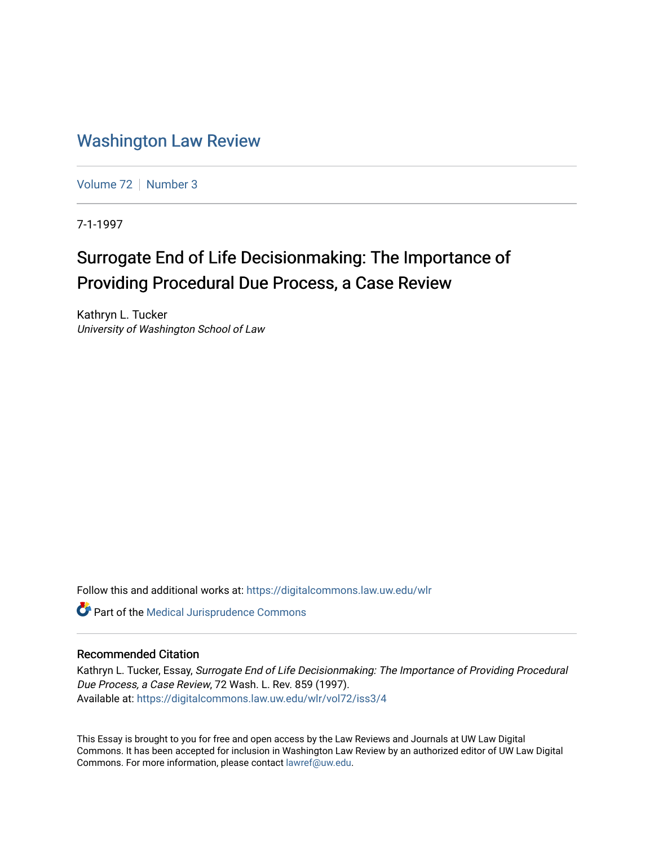# [Washington Law Review](https://digitalcommons.law.uw.edu/wlr)

[Volume 72](https://digitalcommons.law.uw.edu/wlr/vol72) | [Number 3](https://digitalcommons.law.uw.edu/wlr/vol72/iss3)

7-1-1997

# Surrogate End of Life Decisionmaking: The Importance of Providing Procedural Due Process, a Case Review

Kathryn L. Tucker University of Washington School of Law

Follow this and additional works at: [https://digitalcommons.law.uw.edu/wlr](https://digitalcommons.law.uw.edu/wlr?utm_source=digitalcommons.law.uw.edu%2Fwlr%2Fvol72%2Fiss3%2F4&utm_medium=PDF&utm_campaign=PDFCoverPages)

Part of the [Medical Jurisprudence Commons](http://network.bepress.com/hgg/discipline/860?utm_source=digitalcommons.law.uw.edu%2Fwlr%2Fvol72%2Fiss3%2F4&utm_medium=PDF&utm_campaign=PDFCoverPages) 

# Recommended Citation

Kathryn L. Tucker, Essay, Surrogate End of Life Decisionmaking: The Importance of Providing Procedural Due Process, a Case Review, 72 Wash. L. Rev. 859 (1997). Available at: [https://digitalcommons.law.uw.edu/wlr/vol72/iss3/4](https://digitalcommons.law.uw.edu/wlr/vol72/iss3/4?utm_source=digitalcommons.law.uw.edu%2Fwlr%2Fvol72%2Fiss3%2F4&utm_medium=PDF&utm_campaign=PDFCoverPages)

This Essay is brought to you for free and open access by the Law Reviews and Journals at UW Law Digital Commons. It has been accepted for inclusion in Washington Law Review by an authorized editor of UW Law Digital Commons. For more information, please contact [lawref@uw.edu](mailto:lawref@uw.edu).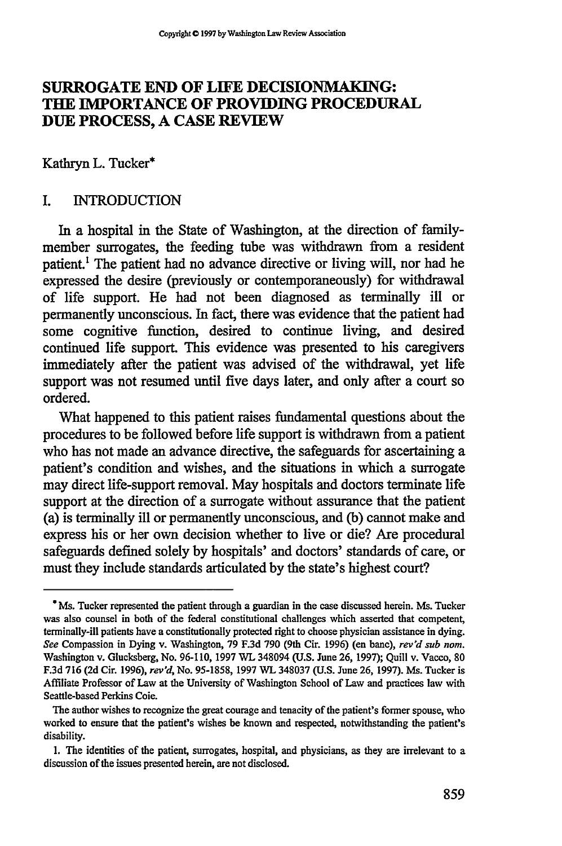# **SURROGATE END OF LIFE DECISIONMAKING: THE IMPORTANCE OF PROVIDING PROCEDURAL DUE PROCESS, A CASE REVIEW**

Kathryn **L.** Tucker\*

#### I. INTRODUCTION

In a hospital in the State of Washington, at the direction of familymember surrogates, the feeding tube was withdrawn from a resident patient.! The patient had no advance directive or living will, nor had he expressed the desire (previously or contemporaneously) for withdrawal of life support. He had not been diagnosed as terminally ill or permanently unconscious. In fact, there was evidence that the patient had some cognitive function, desired to continue living, and desired continued life support. This evidence was presented to his caregivers immediately after the patient was advised of the withdrawal, yet life support was not resumed until five days later, and only after a court so ordered.

What happened to this patient raises fundamental questions about the procedures to be followed before life support is withdrawn from a patient who has not made an advance directive, the safeguards for ascertaining a patient's condition and wishes, and the situations in which a surrogate may direct life-support removal. May hospitals and doctors terminate life support at the direction of a surrogate without assurance that the patient (a) is terminally ill or permanently unconscious, and (b) cannot make and express his or her own decision whether to live or die? Are procedural safeguards defined solely by hospitals' and doctors' standards of care, or must they include standards articulated by the state's highest court?

**<sup>\*</sup>** Ms. Tucker represented the patient through a guardian in the case discussed herein. **Ms.** Tucker was also counsel in both of the federal constitutional challenges which asserted that competent, terminally-ill patients have a constitutionally protected right to choose physician assistance in dying. *See* Compassion in Dying v. Washington, 79 F.3d 790 (9th Cir. 1996) (en banc), *rev'd sub nom.* Washington v. Glucksberg, No. 96-110, 1997 WL 348094 (U.S. June **26,** 1997); Quill v. Vacco, **80** F.3d 716 (2d Cir. 1996), *rev'd,* No. **95-1858,** 1997 WL 348037 **(U.S.** June 26, 1997). Ms. Tucker is Affiliate Professor of Law at the University of Washington School of Law and practices law with Seattle-based Perkins Coie.

The author wishes to recognize the great courage and tenacity of the patient's former spouse, who worked to ensure that the patient's wishes be known and respected, notwithstanding the patient's disability.

<sup>1.</sup> The identities of the patient, surrogates, hospital, and physicians, as they are irrelevant to a discussion of the issues presented herein, are not disclosed.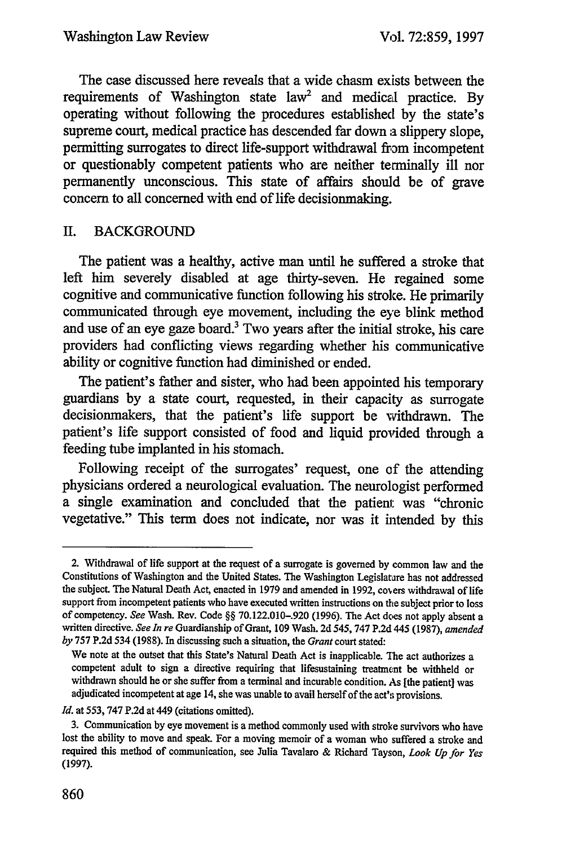The case discussed here reveals that a wide chasm exists between the requirements of Washington state law<sup>2</sup> and medical practice. By operating without following the procedures established by the state's supreme court, medical practice has descended far down a slippery slope, permitting surrogates to direct life-support withdrawal from incompetent or questionably competent patients who are neither terminally ill nor permanently unconscious. This state of affairs should be of grave concern to all concerned with end of life decisionmaking.

# II. BACKGROUND

The patient was a healthy, active man until he suffered a stroke that left him severely disabled at age thirty-seven. He regained some cognitive and communicative function following his stroke. He primarily communicated through eye movement, including the eye blink method and use of an eye gaze board.<sup>3</sup> Two years after the initial stroke, his care providers had conflicting views regarding whether his communicative ability or cognitive function had diminished or ended.

The patient's father and sister, who had been appointed his temporary guardians by a state court, requested, in their capacity as surrogate decisionmakers, that the patient's life support be withdrawn. The patient's life support consisted of food and liquid provided through a feeding tube implanted in his stomach.

Following receipt of the surrogates' request, one **of** the attending physicians ordered a neurological evaluation. The neurologist performed a single examination and concluded that the patient was "chronic vegetative." This term does not indicate, nor was it intended by this

<sup>2.</sup> Withdrawal of life support at the request of a surrogate is governed by common law and the Constitutions of Washington and the United States. The Washington Legislatare has not addressed the subject. The Natural Death Act, enacted in 1979 and amended in 1992, covers withdrawal of life support from incompetent patients who have executed written instructions on the subject prior to loss of competency. *See* Wash. Rev. Code §§ 70.122.010-.920 (1996). The Act does not apply absent a written directive. *See In re* Guardianship of Grant, 109 Wash. 2d 545, **747** P.2d 445 (1987), *amended by* 757 P.2d 534 (1988). In discussing such a situation, the *Grant* court stated:

We note at the outset that this State's Natural Death Act is inapplicable. The act authorizes a competent adult to sign a directive requiring that lifesustaining treatment be withheld or withdrawn should he or she suffer from a terminal and incurable condition. As [the patient] was adjudicated incompetent at age 14, she was unable to avail herself of the act's provisions.

*Id.* at **553,** 747 P.2d at 449 (citations omitted).

<sup>3.</sup> Communication by eye movement is a method commonly used with stroke survivors who have lost the ability to move and speak. For a moving memoir of a woman who suffered a stroke and required this method of communication, see Julia Tavalaro & Richard Tayson, *Look Up for Yes* (1997).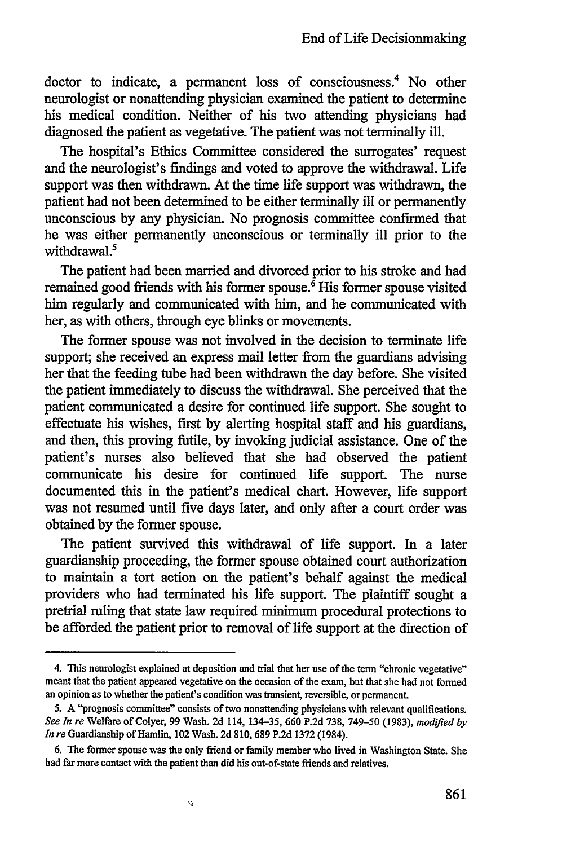doctor to indicate, a permanent loss of consciousness.<sup>4</sup> No other neurologist or nonattending physician examined the patient to determine his medical condition. Neither of his two attending physicians had diagnosed the patient as vegetative. The patient was not terminally ill.

The hospital's Ethics Committee considered the surrogates' request and the neurologist's findings and voted to approve the withdrawal. Life support was then withdrawn. At the time life support was withdrawn, the patient had not been determined to be either terminally ill or permanently unconscious by any physician. No prognosis committee confirmed that he was either permanently unconscious or terminally ill prior to the withdrawal.<sup>5</sup>

The patient had been married and divorced prior to his stroke and had remained good friends with his former spouse.' His former spouse visited him regularly and communicated with him, and he communicated with her, as with others, through eye blinks or movements.

The former spouse was not involved in the decision to terminate life support; she received an express mail letter from the guardians advising her that the feeding tube had been withdrawn the day before. She visited the patient immediately to discuss the withdrawal. She perceived that the patient communicated a desire for continued life support. She sought to effectuate his wishes, first by alerting hospital staff and his guardians, and then, this proving futile, by invoking judicial assistance. One of the patient's nurses also believed that she had observed the patient communicate his desire for continued life support. The nurse documented this in the patient's medical chart. However, life support was not resumed until five days later, and only after a court order was obtained by the former spouse.

The patient survived this withdrawal of life support. In a later guardianship proceeding, the former spouse obtained court authorization to maintain a tort action on the patient's behalf against the medical providers who had terminated his life support. The plaintiff sought a pretrial ruling that state law required minimum procedural protections to be afforded the patient prior to removal of life support at the direction of

<sup>4.</sup> This neurologist explained at deposition and trial that her use of the term "chronic vegetative" meant that the patient appeared vegetative on the occasion of the exam, but that she had not formed an opinion as to whether the patient's condition was transient, reversible, or permanent.

*<sup>5.</sup>* A "prognosis committee" consists of two nonattending physicians with relevant qualifications. *See In re* welfare of Colyer, 99 Wash. 2d 114, 134-35, 660 P.2d 738, 749-50 (1983), *modified by In re* Guardianship of Hamlin, 102 Wash. 2d 810, 689 P.2d 1372 (1984).

<sup>6.</sup> The former spouse was the only friend or family member who lived in Washington State. She had far more contact with the patient than did his out-of-state friends and relatives.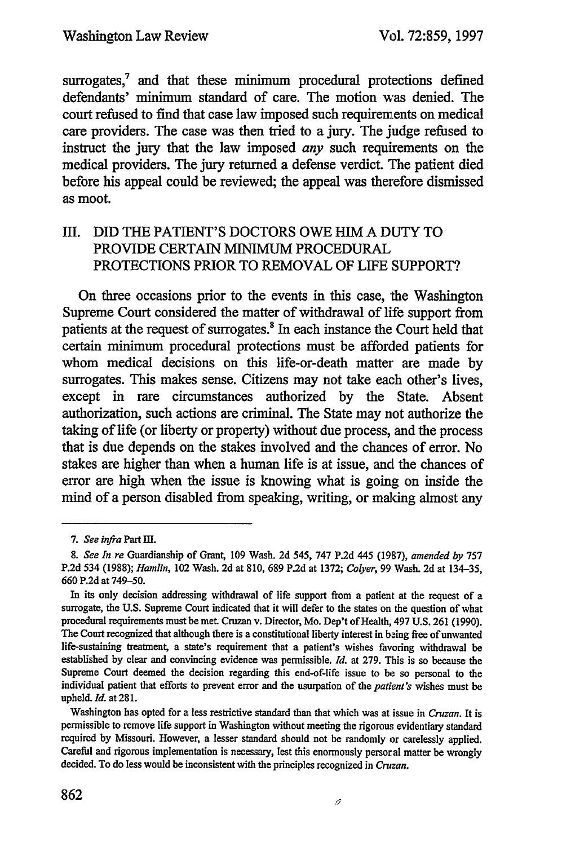surrogates,<sup>7</sup> and that these minimum procedural protections defined defendants' minimum standard of care. The motion was denied. The court refused to find that case law imposed such requirements on medical care providers. The case was then tried to a jury. The judge refused to instruct the jury that the law imposed *any* such requirements on the medical providers. The jury returned a defense verdict. The patient died before his appeal could be reviewed; the appeal was therefore dismissed as moot.

# III. DID THE PATIENT'S DOCTORS OWE HIM **A DUTY** TO PROVIDE **CERTAIN** MINIMUM PROCEDURAL PROTECTIONS PRIOR TO REMOVAL OF LIFE SUPPORT?

On three occasions prior to the events in this case, the Washington Supreme Court considered the matter of withdrawal of life support from patients at the request of surrogates.<sup>8</sup> In each instance the Court held that certain minimum procedural protections must be afforded patients for whom medical decisions on this life-or-death matter are made **by** surrogates. This makes sense. Citizens may not take each other's lives, except in rare circumstances authorized **by** the State. Absent authorization, such actions are criminal. The State may not authorize the taking of life (or liberty or property) without due process, and the process that is due depends on the stakes involved and the chances of error. No stakes are higher than when a human life is at issue, **and** the chances of error are high when the issue is knowing what is going on inside the mind of a person disabled from speaking, writing, or making almost any

*<sup>7.</sup> See infra* Part *uIl.*

*<sup>8.</sup> See In re* Guardianship of Grant, **109** Wash. **2d** 545, **747 P.2d** 445 **(1987),** *amended by* **757 P.2d** 534 **(1988);** *Hamlin,* 102 Wash. **2d** at **810, 689 P.2d** at **1372;** *Colyer,* **99** Wash. **2d** at 134-35, **660 P.2d** at **749-50.**

In its only decision addressing withdrawal of life support from a patient at the request of a surrogate, the **U.S.** Supreme Court indicated that it will defer to the states on the question of what procedural requirements must be met. Cruzan v. Director, Mo. Dep't of Health, 497 **U.S. 261 (1990).** The Court recognized that although there is a constitutional liberty interest in being free of unwanted life-sustaining treatment, a state's requirement that a patient's wishes favoring withdrawal be established **by** clear and convincing evidence was permissible. *Id.* at **279.** This is so because the Supreme Court deemed the decision regarding this end-of-life issue to **be** so personal to the individual patient that efforts to prevent error and the usurpation of the *patient's* wishes must be upheld. Id. at **281.**

Washington has opted for a less restrictive standard than that which was at issue in *Cruzan.* It is permissible to remove life support in Washington without meeting the rigorous evidentiary standard required **by** Missouri. However, a lesser standard should not be randomly or carelessly applied. Careful and rigorous implementation is necessary, lest this enormously persor al matter be wrongly decided. To do less would be inconsistent with the principles recognized in **Cruzan.**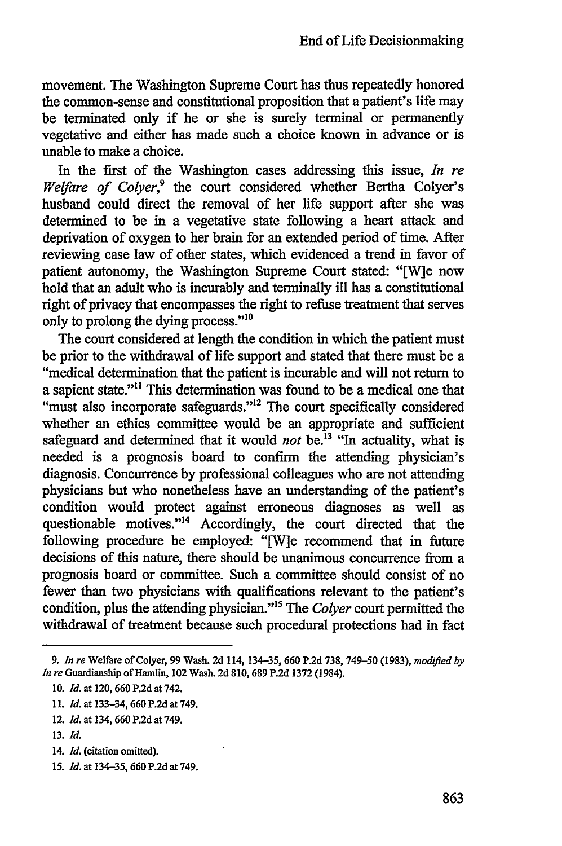movement. The Washington Supreme Court has thus repeatedly honored the common-sense and constitutional proposition that a patient's life may be terminated only if he or she is surely terminal or permanently vegetative and either has made such a choice known in advance or is unable to make a choice.

In the first of the Washington cases addressing this issue, *In re Welfare of Colyer,9* the court considered whether Bertha Colyer's husband could direct the removal of her life support after she was determined to be in a vegetative state following a heart attack and deprivation of oxygen to her brain for an extended period of time. After reviewing case law of other states, which evidenced a trend in favor of patient autonomy, the Washington Supreme Court stated: "[W]e now hold that an adult who is incurably and terminally ill has a constitutional right of privacy that encompasses the right to refuse treatment that serves only to prolong the dying process."'<sup>0</sup>

The court considered at length the condition in which the patient must be prior to the withdrawal of life support and stated that there must be a "medical determination that the patient is incurable and will not return to a sapient state."<sup>11</sup> This determination was found to be a medical one that "must also incorporate safeguards."<sup>12</sup> The court specifically considered whether an ethics committee would be an appropriate and sufficient safeguard and determined that it would *not* be.<sup>13</sup> "In actuality, what is needed is a prognosis board to confirm the attending physician's diagnosis. Concurrence by professional colleagues who are not attending physicians but who nonetheless have an understanding of the patient's condition would protect against erroneous diagnoses as well as questionable motives."<sup>14</sup> Accordingly, the court directed that the following procedure be employed: "[W]e recommend that in future decisions of this nature, there should be unanimous concurrence from a prognosis board or committee. Such a committee should consist of no fewer than two physicians with qualifications relevant to the patient's condition, plus the attending physician."<sup>15</sup> The *Colyer* court permitted the withdrawal of treatment because such procedural protections had in fact

**15.** *Id.* at 134-35, **660 P.2d** at 749.

*<sup>9.</sup> In re* Welfare of Colyer, 99 Wash. 2d 114, 134-35, 660 P.2d 738, 749-50 (1983), *modifled by In re* Guardianship of Hamlin, 102 Wash. 2d 810, 689 P.2d 1372 (1984).

<sup>10.</sup> *Id.* at 120, 660 P.2d at 742.

<sup>11.</sup> *Id.* at 133-34, 660 P.2d at 749.

<sup>12.</sup> *Id.* at 134, 660 P.2d at 749.

<sup>13.</sup> *Id.*

<sup>14.</sup> *Id.* (citation omitted).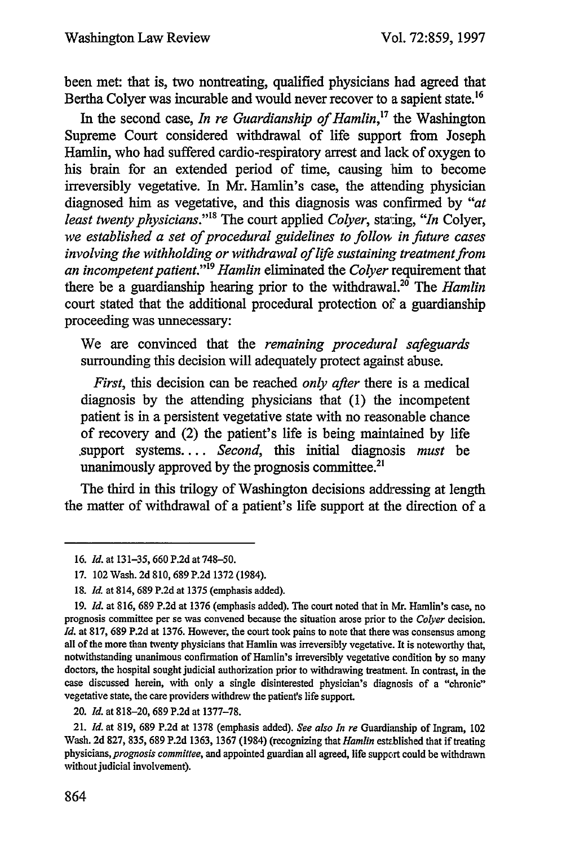been met: that is, two nontreating, qualified physicians had agreed that Bertha Colyer was incurable and would never recover to a sapient state.<sup>16</sup>

In the second case, *In re Guardianship of Hamlin*,<sup>17</sup> the Washington Supreme Court considered withdrawal of life support from Joseph Hamlin, who had suffered cardio-respiratory arrest and lack of oxygen to his brain for an extended period of time, causing him to become irreversibly vegetative. In Mr. Hamlin's case, the attending physician diagnosed him as vegetative, and this diagnosis was confirmed by *"at least twenty physicians.""8* The court applied *Colyer,* star:ing, *"In* Colyer, *we established a set of procedural guidelines to follow in future cases involving the withholding or withdrawal of life sustaining treatment from an incompetent patient."'9 Hamlin* eliminated the *Colyer* requirement that there be a guardianship hearing prior to the withdrawal.<sup>20</sup> The *Hamlin* court stated that the additional procedural protection of a guardianship proceeding was unnecessary:

We are convinced that the *remaining procedural safeguards* surrounding this decision will adequately protect against abuse.

*First,* this decision can be reached *only after* there is a medical diagnosis by the attending physicians that (1) the incompetent patient is in a persistent vegetative state with no reasonable chance of recovery and (2) the patient's life is being maintained by life .support systems.... *Second,* this initial diagnosis *must* be unanimously approved by the prognosis committee.<sup>21</sup>

The third in this trilogy of Washington decisions addressing at length the matter of withdrawal of a patient's life support at the direction of a

<sup>16.</sup> *Id.* at 131-35, 660 P.2d at 748-50.

<sup>17. 102</sup> Wash. 2d 810, 689 P.2d 1372 (1984).

**<sup>18.</sup>** *Id.* at 814, 689 P.2d at 1375 (emphasis added).

**<sup>19.</sup>** *Id.* at 816, **689 P.2d** at 1376 (emphasis added). The court noted that in Mr. Hamlin's case, no prognosis committee per se was convened because the situation arose prior to the *Colyer* decision. *Id.* at 817, 689 P.2d at 1376. However, the court took pains to note that there was consensus among all of the more than twenty physicians that Hamlin was irreversibly vegetative. It is noteworthy that, notwithstanding unanimous confirmation of Hamlin's irreversibly vegetative condition by so many doctors, the hospital sought judicial authorization prior to withdrawing treatment. In contrast, in the case discussed herein, with only a single disinterested physician's diagnosis of a "chronic" vegetative state, the care providers withdrew the patienfs life support.

<sup>20.</sup> *Id.* at 818-20, 689 P.2d at 1377-78.

<sup>21.</sup> *Id.* at 819, 689 P.2d at 1378 (emphasis added). *See also In re* Guardianship of Ingram, 102 Wash. 2d 827, 835, 689 P.2d 1363, 1367 (1984) (recognizing that *Hamlin* esttblished that if treating physicians, *prognosis committee,* and appointed guardian all agreed, life support could be withdrawn without judicial involvement).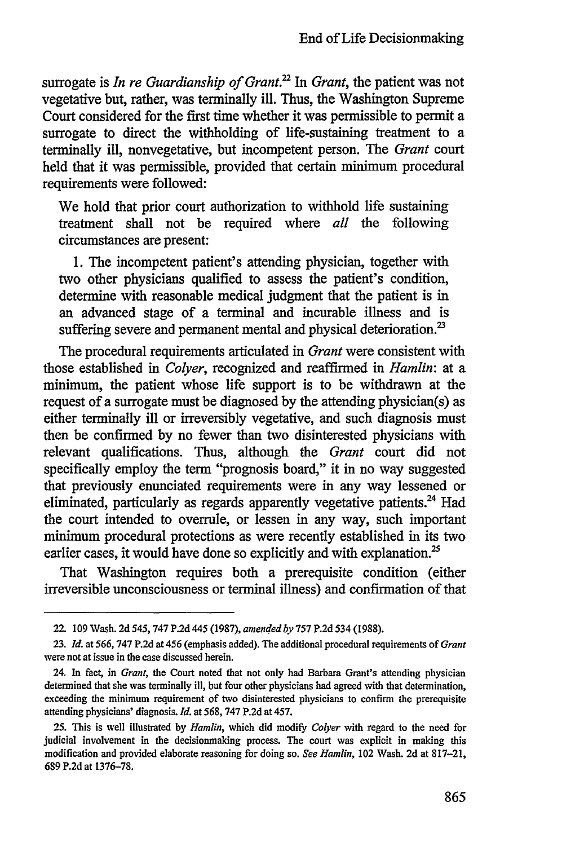surrogate is *In re Guardianship of Grant.'2 In Grant,* the patient was not vegetative but, rather, was terminally ill. Thus, the Washington Supreme Court considered for the first time whether it was permissible to permit a surrogate to direct the withholding of life-sustaining treatment to a terminally ill, nonvegetative, but incompetent person. The *Grant* court held that it was permissible, provided that certain minimum procedural requirements were followed:

We hold that prior court authorization to withhold life sustaining treatment shall not be required where *all* the following circumstances are present:

1. The incompetent patient's attending physician, together with two other physicians qualified to assess the patient's condition, determine with reasonable medical judgment that the patient is in an advanced stage of a terminal and incurable illness and is suffering severe and permanent mental and physical deterioration.<sup>23</sup>

The procedural requirements articulated in *Grant* were consistent with those established in *Colyer,* recognized and reaffirmed in *Hamlin:* at a minimum, the patient whose life support is to be withdrawn at the request of a surrogate must be diagnosed by the attending physician(s) as either terminally ill or irreversibly vegetative, and such diagnosis must then be confirmed by no fewer than two disinterested physicians with relevant qualifications. Thus, although the *Grant* court did not specifically employ the term "prognosis board," it in no way suggested that previously enunciated requirements were in any way lessened or eliminated, particularly as regards apparently vegetative patients.<sup>24</sup> Had the court intended to overrule, or lessen in any way, such important minimum procedural protections as were recently established in its two earlier cases, it would have done so explicitly and with explanation.<sup>25</sup>

That Washington requires both a prerequisite condition (either irreversible unconsciousness or terminal illness) and confirmation of that

<sup>22. 109</sup> Wash. 2d 545, **747** P.2d 445 (1987), *amended by* **757** P.2d 534 (1988).

**<sup>23.</sup>** *Id. at* 566, 747 P.2d at 456 (emphasis added). The additional procedural requirements of *Grant* were not at issue in the case discussed herein.

<sup>24.</sup> In fact, in *Grant,* the Court noted that not only had Barbara Grant's attending physician determined that she was terminally ill, but four other physicians had agreed with that determination, exceeding the minimum requirement of two disinterested physicians to confirm the prerequisite attending physicians' diagnosis. *Id.* at **568,** 747 P.2d at 457.

<sup>25.</sup> This is well illustrated by *Hamlin,* which did modify *Colyer* with regard to the need for judicial involvement in the decisionmaking process. The court was explicit in making this modification and provided elaborate reasoning for doing so. *See Hamlin,* 102 Wash. 2d at 817-21, 689 P.2d at 1376-78.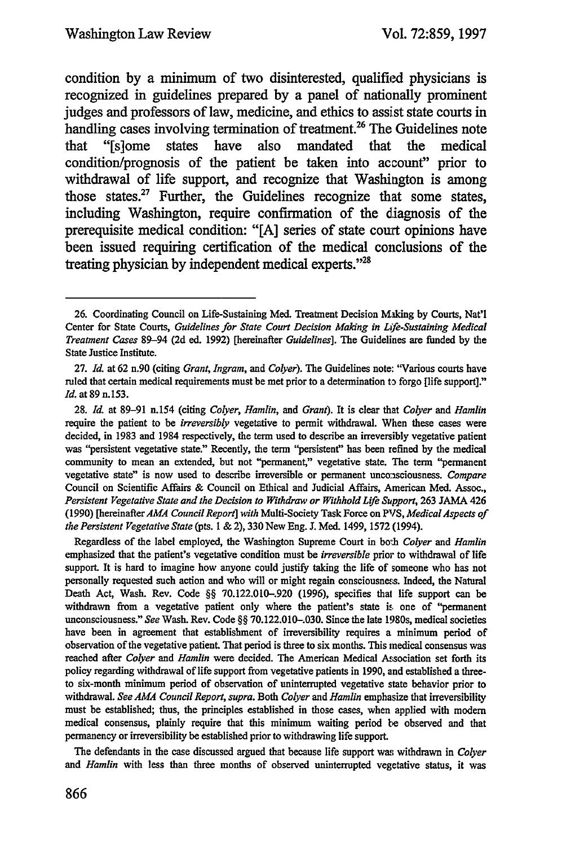condition **by** a minimum of two disinterested, qualified physicians is recognized in guidelines prepared **by** a panel of nationally prominent judges and professors of law, medicine, and ethics to assist state courts in handling cases involving termination of treatment.<sup>26</sup> The Guidelines note that "[s]ome states have also mandated that the medical condition/prognosis of the patient be taken into account" prior to withdrawal of life support, and recognize that Washington is among those states.<sup>27</sup> Further, the Guidelines recognize that some states, including Washington, require confirmation of the diagnosis of the prerequisite medical condition: **"[A]** series of state court opinions have been issued requiring certification of the medical conclusions of the treating physician **by** independent medical experts."2

Regardless of the label employed, the Washington Supreme Court in both *Colyer and Hamlin* emphasized that the patient's vegetative condition must be *irreversible* prior to withdrawal of life support. It is hard to imagine how anyone could justify taking the life of someone who has not personally requested such action and who will or might regain consciousne.s. Indeed, the Natural Death Act, Wash. Rev. Code §§ 70.122.010-.920 (1996), specifies that life support can be withdrawn from a vegetative patient only where the patient's state is one of "permanent unconsciousness." *See* Wash. Rev. Code §§ 70.122.010-.030. Since the late 1980s, medical societies have been in agreement that establishment of irreversibility requires a minimum period of observation of the vegetative patient. That period is three to six months. This medical consensus was reached after *Colyer* and *Hamlin* were decided. The American Medical Association set forth its policy regarding withdrawal of life support from vegetative patients in 1990, and established a threeto six-month minimum period of observation of uninterrupted vegetative state behavior prior to withdrawal. *See AMA Council Report, supra.* Both *Colyer and Hamlin* emphasize that irreversibility must be established, thus, the principles established in those cases, when applied with modem medical consensus, plainly require that this minimum waiting period be observed and that permanency or irreversibility be established prior to withdrawing life support.

The defendants in the case discussed argued that because life support was withdrawn in *Colyer* and *Hamlin* with less than three months of observed uninterrupted vegetative status, it was

<sup>26.</sup> Coordinating Council on Life-Sustaining Med. Treatment Decision Making by Courts, Nat'l Center for State Courts, *Guidelines for State Court Decision Making in Life-Sustaining Medical Treatment Cases* 89-94 **(2d** ed. 1992) [hereinafter *Guidelines].* The Guidelines are funded by the State Justice Institute.

<sup>27.</sup> *Id.* at 62 n.90 (citing *Grant, Ingram, and Colyer).* The Guidelines note: "Various courts have ruled that certain medical requirements must be met prior to a determination to forgo [life support]." *Id.* at 89 n.153.

<sup>28.</sup> *Id.* at 89-91 n.154 (citing *Colyer, Hamlin, and Grant).* It is clear that *Colyer and Hamlin* require the patient to be *irreversibly* vegetative to permit withdrawal. When these cases were decided, in 1983 and 1984 respectively, the term used to describe an irreversibly vegetative patient was "persistent vegetative state." Recently, the term "persistent' has been refined by the medical community to mean an extended, but not "permanent," vegetative state. The term "permanent vegetative state" is now used to describe irreversible or permanent unconsciousness. *Compare* Council on Scientific Affairs & Council on Ethical and Judicial Affairs, American Med. Assoc., Persistent Vegetative State and the Decision to Withdraw or Withhold Life Support, 263 JAMA 426 (1990) [hereinafter AMA Council Report] with Multi-Society Task Force on PVS, Medical Aspects of *the Persistent Vegetative State* (pts. **I** & 2), 330 New Eng. J. Med. 1499, 1572 (1994).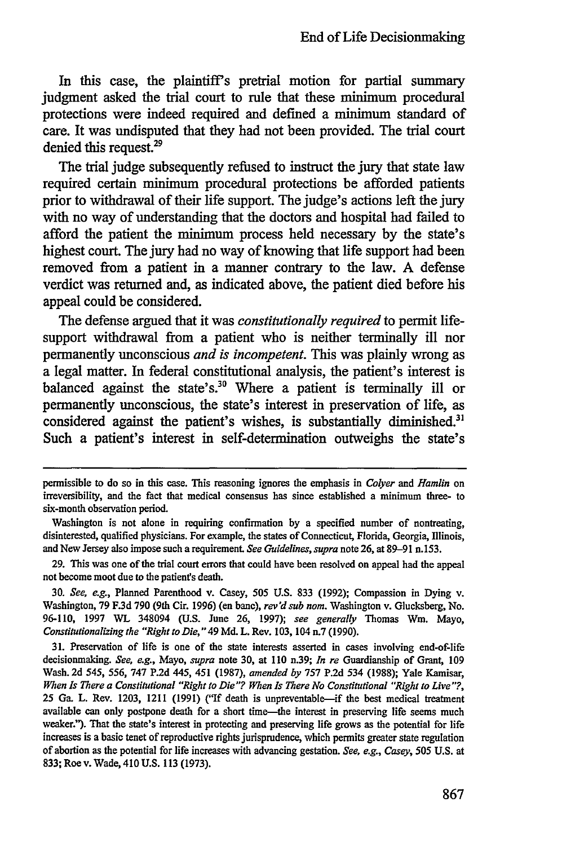In this case, the plaintiff's pretrial motion for partial summary judgment asked the trial court to rule that these minimum procedural protections were indeed required and defined a minimum standard of care. It was undisputed that they had not been provided. The trial court denied this request.<sup>29</sup>

The trial judge subsequently refused to instruct the jury that state law required certain minimum procedural protections be afforded patients prior to withdrawal of their life support. The judge's actions left the jury with no way of understanding that the doctors and hospital had failed to afford the patient the minimum process held necessary by the state's highest court. The jury had no way of knowing that life support had been removed from a patient in a manner contrary to the law. A defense verdict was returned and, as indicated above, the patient died before his appeal could be considered.

The defense argued that it was *constitutionally required* to permit lifesupport withdrawal from a patient who is neither terminally ill nor permanently unconscious *and is incompetent.* This was plainly wrong as a legal matter. In federal constitutional analysis, the patient's interest is balanced against the state's.<sup>30</sup> Where a patient is terminally ill or permanently unconscious, the state's interest in preservation of life, as considered against the patient's wishes, is substantially diminished.<sup>31</sup> Such a patient's interest in self-determination outweighs the state's

30. *See, e.g.,* Planned Parenthood v. Casey, 505 U.S. 833 (1992); Compassion in Dying v. Washington, 79 F.3d 790 (9th Cir. 1996) (en banc), rev'd sub nom. Washington v. Glucksberg, No. 96-110, 1997 WL 348094 (U.S. June 26, 1997); *see generally* Thomas Win. Mayo, *Constitutionalizing the "Right to Die,"* 49 Md. L. Rev. 103, 104 n.7 (1990).

**31.** Preservation of life is one of the state interests asserted in cases involving end-of-life decisionmaking. *See, e.g.,* Mayo, *supra* note 30, at **110** n.39; *In re* Guardianship of Grant, 109 Wash. 2d *545, 556,* 747 P.2d 445, 451 (1987), *amended by* 757 P.2d 534 (1988); Yale Kamisar, *When Is There a Constitutional "Right to Die"? When Is There No Constitutional "'Right to Live"?,* 25 Ga. L. Rev. 1203, 1211 (1991) ("If death is unpreventable-if the best medical treatment available can only postpone death for a short time—the interest in preserving life seems much weaker."). That the state's interest in protecting and preserving life grows as the potential for life increases is a basic tenet of reproductive rights jurisprudence, which permits greater state regulation of abortion as the potential for life increases with advancing gestation. *See, e.g., Casey, 505* U.S. at 833; Roe v. Wade, 410 **U.S.** 113 (1973).

permissible to do so in this case. This reasoning ignores the emphasis in *Colyer and Hamlin* on irreversibility, and the fact that medical consensus has since established a minimum three- to six-month observation period.

Washington is not alone in requiring confirmation by a specified number of nontreating, disinterested, qualified physicians. For example, the states of Connecticut, Florida, Georgia, Illinois, and New Jersey also impose such a requirement. *See Guidelines, supra* note 26, at 89-91 n.153.

<sup>29.</sup> This was one of the trial court errors that could have been resolved on appeal had the appeal not become moot due to the patient's death.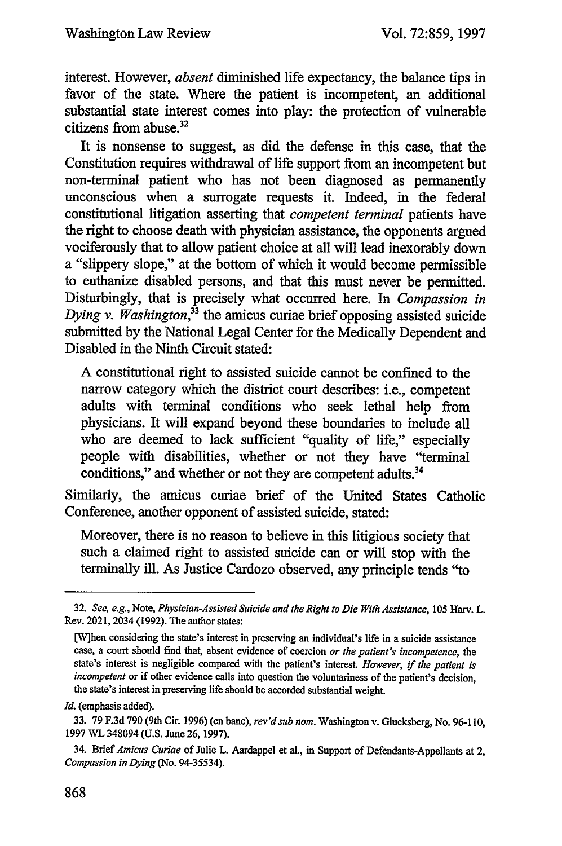interest. However, *absent* diminished life expectancy, the balance tips in favor of the state. Where the patient is incompetent, an additional substantial state interest comes into play: the protection of vulnerable citizens from abuse.<sup>32</sup>

It is nonsense to suggest, as did the defense in this case, that the Constitution requires withdrawal of life support from an incompetent but non-terminal patient who has not been diagnosed as permanently unconscious when a surrogate requests it. Indeed, in the federal constitutional litigation asserting that *competent terminal* patients have the right to choose death with physician assistance, the opponents argued vociferously that to allow patient choice at all will lead inexorably down a "slippery slope," at the bottom of which it would become permissible to euthanize disabled persons, and that this must never be permitted. Disturbingly, that is precisely what occurred here. In *Compassion in Dying v. Washington,33* the amicus curiae brief opposing assisted suicide submitted by the National Legal Center for the Medically Dependent and Disabled in the Ninth Circuit stated:

A constitutional right to assisted suicide cannot be confined to the narrow category which the district court describes: i.e., competent adults with terminal conditions who seek lethal help from physicians. It will expand beyond these boundaries to include all who are deemed to lack sufficient "quality of life," especially people with disabilities, whether or not they have "terminal conditions," and whether or not they are competent adults.<sup>34</sup>

Similarly, the amicus curiae brief of the United States Catholic Conference, another opponent of assisted suicide, stated:

Moreover, there is no reason to believe in this litigious society that such a claimed right to assisted suicide can or will stop with the terminally ill. As Justice Cardozo observed, any principle tends "to

*<sup>32.</sup> See, e.g.,* Note, *Physician-Assisted Suicide and the Right to Die With Assistance, 105* Harv. L. Rev. 2021, 2034 (1992). The author states:

<sup>[</sup>W]hen considering the state's interest in preserving an individual's life in a suicide assistance case, a court should find that, absent evidence of coercion *or the patient's incompetence, the* state's interest is negligible compared with the patient's interest. *However,* if *the patient is incompetent* or if other evidence calls into question the voluntariness of the patient's decision, the state's interest in preserving life should be accorded substantial weight.

*Id.* (emphasis added).

<sup>33. 79</sup> F.3d 790 (9th Cir. 1996) (en banc), *rev'd sub nom.* Washington v. Glucksberg, No. 96-110, 1997 WL 348094 **(U.S.** June 26, 1997).

<sup>34.</sup> Brief *Amicus Curiae* of Julie L. Aardappel et al., in Support of Defendants-Appellants at 2, *Compassion in Dying* (No. 94-35534).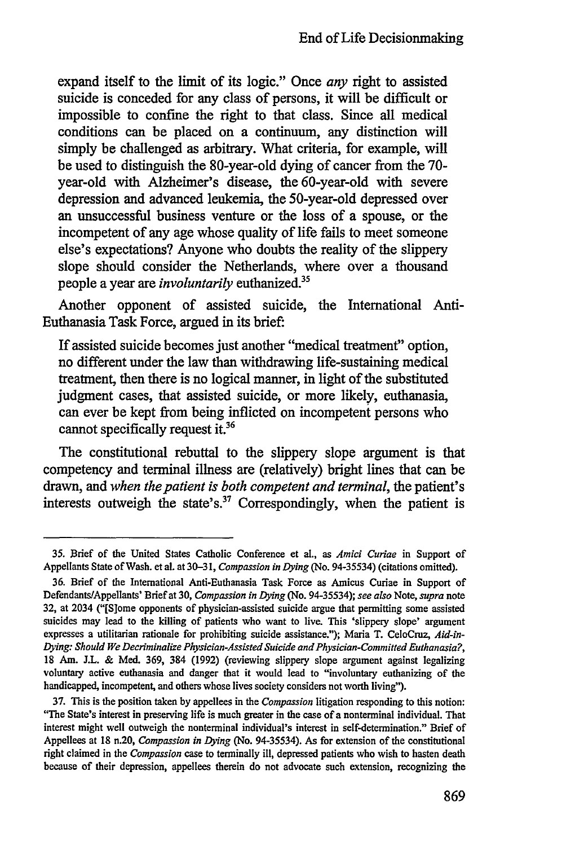expand itself to the limit of its logic." Once *any* right to assisted suicide is conceded for any class of persons, it will be difficult or impossible to confine the right to that class. Since all medical conditions can be placed on a continuum, any distinction will simply be challenged as arbitrary. What criteria, for example, will be used to distinguish the 80-year-old dying of cancer from the **70** year-old with Alzheimer's disease, the 60-year-old with severe depression and advanced leukemia, the 50-year-old depressed over an unsuccessful business venture or the loss of a spouse, or the incompetent of any age whose quality of life fails to meet someone else's expectations? Anyone who doubts the reality of the slippery slope should consider the Netherlands, where over a thousand people a year are *involuntarily* euthanized.<sup>35</sup>

Another opponent of assisted suicide, the International Anti-Euthanasia Task Force, argued in its brief:

If assisted suicide becomes just another "medical treatment" option, no different under the law than withdrawing life-sustaining medical treatment, then there is no logical manner, in light of the substituted judgment cases, that assisted suicide, or more likely, euthanasia, can ever be kept from being inflicted on incompetent persons who cannot specifically request it. $36$ 

The constitutional rebuttal to the slippery slope argument is that competency and terminal illness are (relatively) bright lines that can be drawn, and *when the patient is both competent and terminal,* the patient's interests outweigh the state's.37 Correspondingly, when the patient is

**<sup>35.</sup> Brief** of the United States Catholic Conference et al., as *Amid Curiae* in Support of Appellants State of Wash. **etal.** at 30-31, *Compassion in Dying (No.* 94-35534) (citations omitted).

**<sup>36.</sup>** Brief of the International Anti-Euthanasia Task Force as Amicus Curiae in Support of Defendants/Appellants' Brief at **30,** *Compassion in Dying (No.* 94-35534); *see also* Note, *supra* note **32,** at 2034 ("[S]ome opponents of physician-assisted suicide argue that permitting some assisted suicides may lead to the killing of patients who want to live. This 'slippery slope' argument expresses a utilitarian rationale for prohibiting suicide assistance."); Maria T. CeloCruz, *Aid-in-Dying: Should We Decriminalize Physician-A ssisted Suicide and Physician-Committed Euthanasia?,* **18** Am. **J.L. &** Med. **369,** 384 **(1992)** (reviewing slippery slope argument against legalizing voluntary active euthanasia and danger that it would lead to "involuntary euthanizing of the handicapped, incompetent, and others whose lives society considers not worth living").

**<sup>37.</sup> This** is the position taken **by** appellees in the *Compassion* litigation responding to this notion: "The State's interest in preserving life is much greater in the case of a nonterminal individual. That interest might well outweigh the nonterminal individual's interest in self-determination." Brief of Appellees at **18** n.20, *Compassion in Dying* (No. 94-35534). As for extension of the constitutional right claimed in the *Compassion* case to terminally ill, depressed patients who wish to hasten death because of their depression, appellees therein do not advocate such extension, recognizing the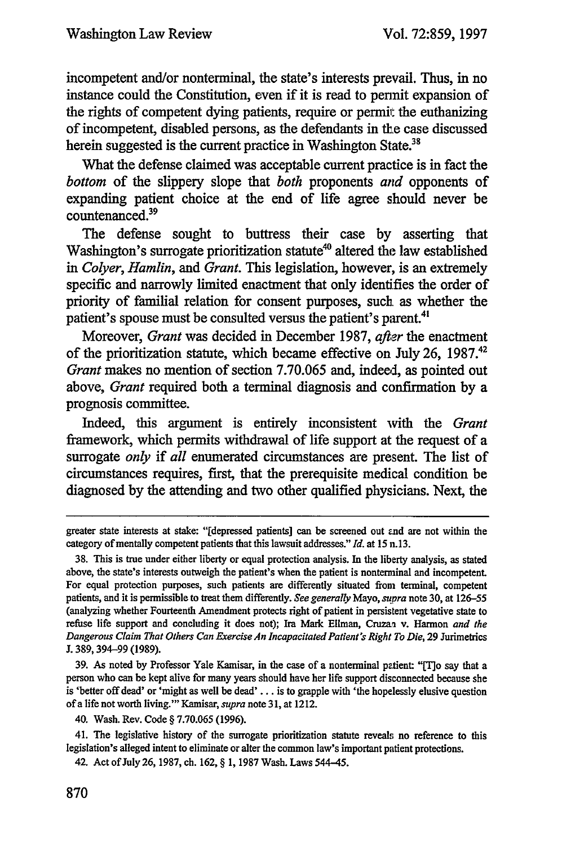incompetent and/or nonterminal, the state's interests prevail. Thus, in no instance could the Constitution, even if it is read to permit expansion of the rights of competent dying patients, require or **permit** the euthanizing of incompetent, disabled persons, as the defendants in the case discussed herein suggested is the current practice in Washington State.<sup>3</sup>

What the defense claimed was acceptable current practice is in fact the *bottom* of the slippery slope that *both* proponents *and* opponents of expanding patient choice at the end of life agree should never be countenanced.39

The defense sought to buttress their case **by** asserting that Washington's surrogate prioritization statute<sup>40</sup> altered the law established *in Colyer, Hamlin, and Grant.* This legislation, however, is an extremely specific and narrowly limited enactment that only identifies the order of priority of familial relation for consent purposes, such as whether the patient's spouse must be consulted versus the patient's parent.<sup>41</sup>

Moreover, *Grant* was decided in December **1987,** *after* the enactment of the prioritization statute, which became effective on July **26, 1987.42** *Grant* makes no mention of section **7.70.065** and, indeel, as pointed out above, *Grant* required both a terminal diagnosis and confirmation **by** a prognosis committee.

Indeed, this argument is entirely inconsistent with the *Grant* framework, which permits withdrawal of life support at the request of a surrogate *only* if *all* enumerated circumstances are present. The list of circumstances requires, first, that the prerequisite medical condition be diagnosed **by** the attending and two other qualified physicians. Next, the

**39.** As noted **by** Professor Yale Kamisar, in the case of a nonterminal pelient: **"[rio** say that a person who can be kept alive for many years should have her life support disconnected because she is 'better off dead' or 'might as well be dead' **. . .** is to grapple with 'the hopelessly elusive question of a life not worth living."' Kamisar, *supra* note **31,** at 1212.

41. The legislative history of the surrogate prioritization statute reveals no reference to this legislation's alleged intent to eliminate or alter the common law's important patient protections.

42. Act of July **26, 1987,** ch. **162, § 1, 1987** Wash. Laws 544-45.

greater state interests at stake: "[depressed patients] can be screened out and are not within the category of mentally competent patients that this lawsuit addresses." *Id.* at **15 n.13.**

**<sup>38.</sup>** This is true under either liberty or equal protection analysis. In the liberty analysis, as stated above, the state's interests outweigh the patient's when the patient is nonterminal and incompetent. For equal protection purposes, such patients are differently situated from terminal, competent patients, and it is permissible to treat them differently. *See generally* Mayo, *supra* note **30,** at **126-55** (analyzing whether Fourteenth Amendment protects right of patient in persistent vegetative state to refuse life support and concluding it does not); Ira Mark Ellman, **Cruzaa** v. Harmon *and the Dangerous Claim That Others Can Exercise An Incapacitated Patient's Right To Die,* **29** Jurimetrics **J. 389,394-99 (1989).**

<sup>40.</sup> Wash. Rev. Code **§ 7.70.065 (1996).**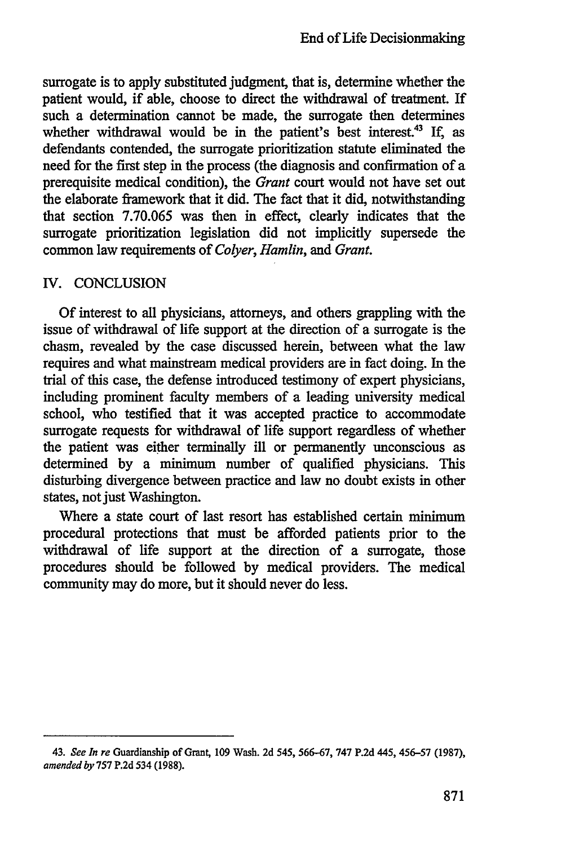surrogate is to apply substituted judgment, that is, determine whether the patient would, if able, choose to direct the withdrawal of treatment. If such a determination cannot be made, the surrogate then determines whether withdrawal would be in the patient's best interest.<sup>43</sup> If, as defendants contended, the surrogate prioritization statute eliminated the need for the first step in the process (the diagnosis and confirmation of a prerequisite medical condition), the *Grant* court would not have set out the elaborate framework that it did. The fact that it did, notwithstanding that section 7.70.065 was then in effect, clearly indicates that the surrogate prioritization legislation did not implicitly supersede the common law requirements of *Colyer, Hamlin, and Grant.*

### IV. CONCLUSION

Of interest to all physicians, attorneys, and others grappling with the issue of withdrawal of life support at the direction of a surrogate is the chasm, revealed by the case discussed herein, between what the law requires and what mainstream medical providers are in fact doing. In the trial of this case, the defense introduced testimony of expert physicians, including prominent faculty members of a leading university medical school, who testified that it was accepted practice to accommodate surrogate requests for withdrawal of life support regardless of whether the patient was either terminally ill or permanently unconscious as determined by a minimum number of qualified physicians. This disturbing divergence between practice and law no doubt exists in other states, not just Washington.

Where a state court of last resort has established certain minimum procedural protections that must be afforded patients prior to the withdrawal of life support at the direction of a surrogate, those procedures should be followed by medical providers. The medical community may do more, but it should never do less.

<sup>43.</sup> *See In re* Guardianship of Grant, 109 Wash. 2d 545, 566-67, 747 P.2d 445, 456-57 (1987), *amended by* 757 P.2d 534 (1988).